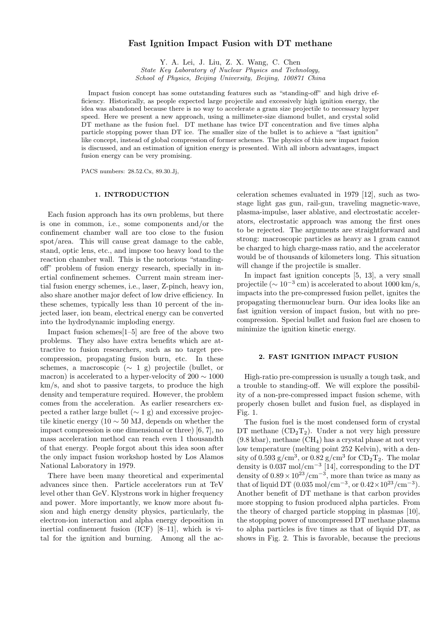# Fast Ignition Impact Fusion with DT methane

Y. A. Lei, J. Liu, Z. X. Wang, C. Chen State Key Laboratory of Nuclear Physics and Technology, School of Physics, Beijing University, Beijing, 100871 China

Impact fusion concept has some outstanding features such as "standing-off" and high drive efficiency. Historically, as people expected large projectile and excessively high ignition energy, the idea was abandoned because there is no way to accelerate a gram size projectile to necessary hyper speed. Here we present a new approach, using a millimeter-size diamond bullet, and crystal solid DT methane as the fusion fuel. DT methane has twice DT concentration and five times alpha particle stopping power than DT ice. The smaller size of the bullet is to achieve a "fast ignition" like concept, instead of global compression of former schemes. The physics of this new impact fusion is discussed, and an estimation of ignition energy is presented. With all inborn advantages, impact fusion energy can be very promising.

PACS numbers: 28.52.Cx, 89.30.Jj,

## 1. INTRODUCTION

Each fusion approach has its own problems, but there is one in common, i.e., some components and/or the confinement chamber wall are too close to the fusion spot/area. This will cause great damage to the cable, stand, optic lens, etc., and impose too heavy load to the reaction chamber wall. This is the notorious "standingoff" problem of fusion energy research, specially in inertial confinement schemes. Current main stream inertial fusion energy schemes, i.e., laser, Z-pinch, heavy ion, also share another major defect of low drive efficiency. In these schemes, typically less than 10 percent of the injected laser, ion beam, electrical energy can be converted into the hydrodynamic imploding energy.

Impact fusion schemes[1–5] are free of the above two problems. They also have extra benefits which are attractive to fusion researchers, such as no target precompression, propagating fusion burn, etc. In these schemes, a macroscopic  $(∼ 1 g)$  projectile (bullet, or macron) is accelerated to a hyper-velocity of  $200 \sim 1000$ km/s, and shot to passive targets, to produce the high density and temperature required. However, the problem comes from the acceleration. As earlier researchers expected a rather large bullet  $(\sim 1 \text{ g})$  and excessive projectile kinetic energy (10  $\sim$  50 MJ, depends on whether the impact compression is one dimensional or three) [6, 7], no mass acceleration method can reach even 1 thousandth of that energy. People forgot about this idea soon after the only impact fusion workshop hosted by Los Alamos National Laboratory in 1979.

There have been many theoretical and experimental advances since then. Particle accelerators run at TeV level other than GeV. Klystrons work in higher frequency and power. More importantly, we know more about fusion and high energy density physics, particularly, the electron-ion interaction and alpha energy deposition in inertial confinement fusion (ICF) [8–11], which is vital for the ignition and burning. Among all the acceleration schemes evaluated in 1979 [12], such as twostage light gas gun, rail-gun, traveling magnetic-wave, plasma-impulse, laser ablative, and electrostatic accelerators, electrostatic approach was among the first ones to be rejected. The arguments are straightforward and strong: macroscopic particles as heavy as 1 gram cannot be charged to high charge-mass ratio, and the accelerator would be of thousands of kilometers long. This situation will change if the projectile is smaller.

In impact fast ignition concepts [5, 13], a very small projectile ( $\sim 10^{-3}$  cm) is accelerated to about 1000 km/s, impacts into the pre-compressed fusion pellet, ignites the propagating thermonuclear burn. Our idea looks like an fast ignition version of impact fusion, but with no precompression. Special bullet and fusion fuel are chosen to minimize the ignition kinetic energy.

## 2. FAST IGNITION IMPACT FUSION

High-ratio pre-compression is usually a tough task, and a trouble to standing-off. We will explore the possibility of a non-pre-compressed impact fusion scheme, with properly chosen bullet and fusion fuel, as displayed in Fig. 1.

The fusion fuel is the most condensed form of crystal DT methane  $(CD_2T_2)$ . Under a not very high pressure  $(9.8 \text{ kbar})$ , methane  $(\text{CH}_4)$  has a crystal phase at not very low temperature (melting point 252 Kelvin), with a density of 0.593  $g/cm<sup>3</sup>$ , or 0.82  $g/cm<sup>3</sup>$  for  $CD<sub>2</sub>T<sub>2</sub>$ . The molar density is  $0.037 \text{ mol/cm}^{-3}$  [14], corresponding to the DT density of  $0.89 \times 10^{23}/\text{cm}^{-3}$ , more than twice as many as that of liquid DT  $(0.035 \text{ mol/cm}^{-3}, \text{ or } 0.42 \times 10^{23} / \text{cm}^{-3}).$ Another benefit of DT methane is that carbon provides more stopping to fusion produced alpha particles. From the theory of charged particle stopping in plasmas [10], the stopping power of uncompressed DT methane plasma to alpha particles is five times as that of liquid DT, as shows in Fig. 2. This is favorable, because the precious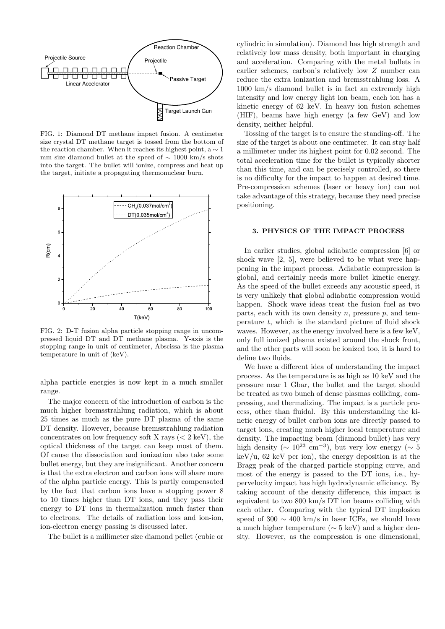

FIG. 1: Diamond DT methane impact fusion. A centimeter size crystal DT methane target is tossed from the bottom of the reaction chamber. When it reaches its highest point,  $a \sim 1$ mm size diamond bullet at the speed of  $\sim 1000 \text{ km/s}$  shots into the target. The bullet will ionize, compress and heat up the target, initiate a propagating thermonuclear burn.



FIG. 2: D-T fusion alpha particle stopping range in uncompressed liquid DT and DT methane plasma. Y-axis is the stopping range in unit of centimeter, Abscissa is the plasma temperature in unit of (keV).

alpha particle energies is now kept in a much smaller range.

The major concern of the introduction of carbon is the much higher bremsstrahlung radiation, which is about 25 times as much as the pure DT plasma of the same DT density. However, because bremsstrahlung radiation concentrates on low frequency soft X rays  $(< 2 \text{ keV})$ , the optical thickness of the target can keep most of them. Of cause the dissociation and ionization also take some bullet energy, but they are insignificant. Another concern is that the extra electron and carbon ions will share more of the alpha particle energy. This is partly compensated by the fact that carbon ions have a stopping power 8 to 10 times higher than DT ions, and they pass their energy to DT ions in thermalization much faster than to electrons. The details of radiation loss and ion-ion, ion-electron energy passing is discussed later.

The bullet is a millimeter size diamond pellet (cubic or

cylindric in simulation). Diamond has high strength and relatively low mass density, both important in charging and acceleration. Comparing with the metal bullets in earlier schemes, carbon's relatively low Z number can reduce the extra ionization and bremsstrahlung loss. A 1000 km/s diamond bullet is in fact an extremely high intensity and low energy light ion beam, each ion has a kinetic energy of 62 keV. In heavy ion fusion schemes (HIF), beams have high energy (a few GeV) and low density, neither helpful.

Tossing of the target is to ensure the standing-off. The size of the target is about one centimeter. It can stay half a millimeter under its highest point for 0.02 second. The total acceleration time for the bullet is typically shorter than this time, and can be precisely controlled, so there is no difficulty for the impact to happen at desired time. Pre-compression schemes (laser or heavy ion) can not take advantage of this strategy, because they need precise positioning.

## 3. PHYSICS OF THE IMPACT PROCESS

In earlier studies, global adiabatic compression [6] or shock wave [2, 5], were believed to be what were happening in the impact process. Adiabatic compression is global, and certainly needs more bullet kinetic energy. As the speed of the bullet exceeds any acoustic speed, it is very unlikely that global adiabatic compression would happen. Shock wave ideas treat the fusion fuel as two parts, each with its own density  $n$ , pressure  $p$ , and temperature  $t$ , which is the standard picture of fluid shock waves. However, as the energy involved here is a few keV, only full ionized plasma existed around the shock front, and the other parts will soon be ionized too, it is hard to define two fluids.

We have a different idea of understanding the impact process. As the temperature is as high as 10 keV and the pressure near 1 Gbar, the bullet and the target should be treated as two bunch of dense plasmas colliding, compressing, and thermalizing. The impact is a particle process, other than fluidal. By this understanding the kinetic energy of bullet carbon ions are directly passed to target ions, creating much higher local temperature and density. The impacting beam (diamond bullet) has very high density ( $\sim 10^{23}$  cm<sup>-3</sup>), but very low energy ( $\sim 5$  $keV/u$ , 62 keV per ion), the energy deposition is at the Bragg peak of the charged particle stopping curve, and most of the energy is passed to the DT ions, i.e., hypervelocity impact has high hydrodynamic efficiency. By taking account of the density difference, this impact is equivalent to two 800 km/s DT ion beams colliding with each other. Comparing with the typical DT implosion speed of 300  $\sim$  400 km/s in laser ICFs, we should have a much higher temperature (∼ 5 keV) and a higher density. However, as the compression is one dimensional,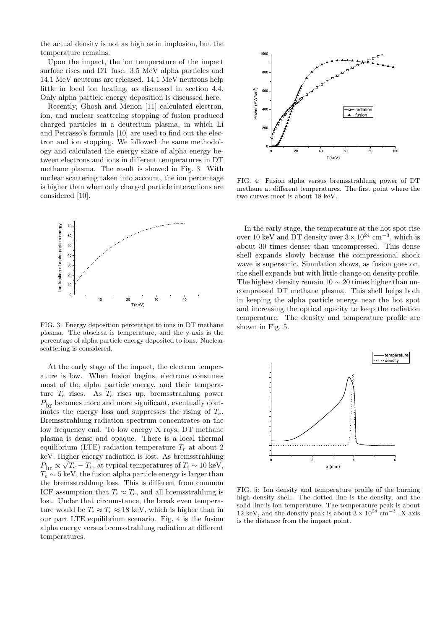the actual density is not as high as in implosion, but the temperature remains.

Upon the impact, the ion temperature of the impact surface rises and DT fuse. 3.5 MeV alpha particles and 14.1 MeV neutrons are released. 14.1 MeV neutrons help little in local ion heating, as discussed in section 4.4. Only alpha particle energy deposition is discussed here.

Recently, Ghosh and Menon [11] calculated electron, ion, and nuclear scattering stopping of fusion produced charged particles in a deuterium plasma, in which Li and Petrasso's formula [10] are used to find out the electron and ion stopping. We followed the same methodology and calculated the energy share of alpha energy between electrons and ions in different temperatures in DT methane plasma. The result is showed in Fig. 3. With nuclear scattering taken into account, the ion percentage is higher than when only charged particle interactions are considered [10].



FIG. 3: Energy deposition percentage to ions in DT methane plasma. The abscissa is temperature, and the y-axis is the percentage of alpha particle energy deposited to ions. Nuclear scattering is considered.

At the early stage of the impact, the electron temperature is low. When fusion begins, electrons consumes most of the alpha particle energy, and their temperature  $T_e$  rises. As  $T_e$  rises up, bremsstrahlung power  $P<sub>br</sub>$  becomes more and more significant, eventually dominates the energy loss and suppresses the rising of  $T_e$ . Bremsstrahlung radiation spectrum concentrates on the low frequency end. To low energy X rays, DT methane plasma is dense and opaque. There is a local thermal equilibrium (LTE) radiation temperature  $T_r$  at about 2 keV. Higher energy radiation is lost. As bremsstrahlung  $P_{\text{br}} \propto \sqrt{T_e - T_r}$ , at typical temperatures of  $T_i \sim 10 \text{ keV}$ ,  $T_e \sim 5$  keV, the fusion alpha particle energy is larger than the bremsstrahlung loss. This is different from common ICF assumption that  $T_i \approx T_e$ , and all bremsstrahlung is lost. Under that circumstance, the break even temperature would be  $T_i \approx T_e \approx 18$  keV, which is higher than in our part LTE equilibrium scenario. Fig. 4 is the fusion alpha energy versus bremsstrahlung radiation at different temperatures.



FIG. 4: Fusion alpha versus bremsstrahlung power of DT methane at different temperatures. The first point where the two curves meet is about 18 keV.

In the early stage, the temperature at the hot spot rise over 10 keV and DT density over  $3 \times 10^{24}$  cm<sup>-3</sup>, which is about 30 times denser than uncompressed. This dense shell expands slowly because the compressional shock wave is supersonic. Simulation shows, as fusion goes on, the shell expands but with little change on density profile. The highest density remain  $10 \sim 20$  times higher than uncompressed DT methane plasma. This shell helps both in keeping the alpha particle energy near the hot spot and increasing the optical opacity to keep the radiation temperature. The density and temperature profile are shown in Fig. 5.



FIG. 5: Ion density and temperature profile of the burning high density shell. The dotted line is the density, and the solid line is ion temperature. The temperature peak is about 12 keV, and the density peak is about  $3 \times 10^{24}$  cm<sup>-3</sup>. X-axis is the distance from the impact point.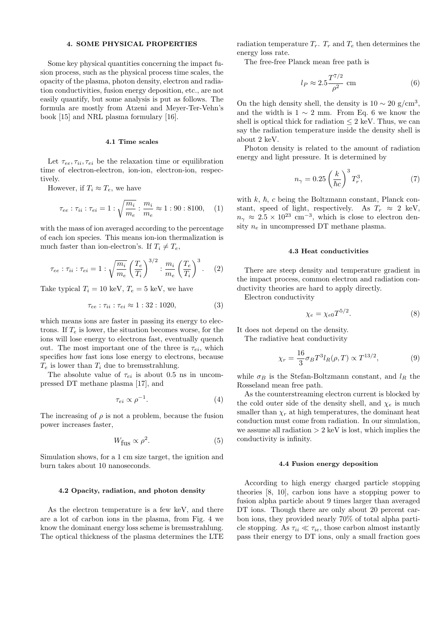## 4. SOME PHYSICAL PROPERTIES

Some key physical quantities concerning the impact fusion process, such as the physical process time scales, the opacity of the plasma, photon density, electron and radiation conductivities, fusion energy deposition, etc., are not easily quantify, but some analysis is put as follows. The formula are mostly from Atzeni and Meyer-Ter-Vehn's book [15] and NRL plasma formulary [16].

#### 4.1 Time scales

Let  $\tau_{ee}, \tau_{ii}, \tau_{ei}$  be the relaxation time or equilibration time of electron-electron, ion-ion, electron-ion, respectively.

However, if  $T_i \approx T_e$ , we have

$$
\tau_{ee} : \tau_{ii} : \tau_{ei} = 1 : \sqrt{\frac{m_i}{m_e}} : \frac{m_i}{m_e} \approx 1 : 90 : 8100, \quad (1)
$$

with the mass of ion averaged according to the percentage of each ion species. This means ion-ion thermalization is much faster than ion-electron's. If  $T_i \neq T_e$ ,

$$
\tau_{ee} : \tau_{ii} : \tau_{ei} = 1 : \sqrt{\frac{m_i}{m_e}} \left(\frac{T_e}{T_i}\right)^{3/2} : \frac{m_i}{m_e} \left(\frac{T_e}{T_i}\right)^3.
$$
 (2)

Take typical  $T_i = 10 \text{ keV}, T_e = 5 \text{ keV}, \text{ we have}$ 

$$
\tau_{ee} : \tau_{ii} : \tau_{ei} \approx 1 : 32 : 1020,
$$
\n
$$
(3)
$$

which means ions are faster in passing its energy to electrons. If  $T_e$  is lower, the situation becomes worse, for the ions will lose energy to electrons fast, eventually quench out. The most important one of the three is  $\tau_{ei}$ , which specifies how fast ions lose energy to electrons, because  $T_e$  is lower than  $T_i$  due to bremsstrahlung.

The absolute value of  $\tau_{ei}$  is about 0.5 ns in uncompressed DT methane plasma [17], and

$$
\tau_{ei} \propto \rho^{-1}.\tag{4}
$$

The increasing of  $\rho$  is not a problem, because the fusion power increases faster,

$$
W_{\text{fus}} \propto \rho^2. \tag{5}
$$

Simulation shows, for a 1 cm size target, the ignition and burn takes about 10 nanoseconds.

#### 4.2 Opacity, radiation, and photon density

As the electron temperature is a few keV, and there are a lot of carbon ions in the plasma, from Fig. 4 we know the dominant energy loss scheme is bremsstrahlung. The optical thickness of the plasma determines the LTE radiation temperature  $T_r$ .  $T_r$  and  $T_e$  then determines the energy loss rate.

The free-free Planck mean free path is

$$
l_P \approx 2.5 \frac{T^{7/2}}{\rho^2} \text{ cm} \tag{6}
$$

On the high density shell, the density is  $10 \sim 20$  g/cm<sup>3</sup>, and the width is  $1 \sim 2$  mm. From Eq. 6 we know the shell is optical thick for radiation  $\leq 2$  keV. Thus, we can say the radiation temperature inside the density shell is about 2 keV.

Photon density is related to the amount of radiation energy and light pressure. It is determined by

$$
n_{\gamma} = 0.25 \left(\frac{k}{\hbar c}\right)^3 T_r^3,\tag{7}
$$

with  $k, \hbar, c$  being the Boltzmann constant, Planck constant, speed of light, respectively. As  $T_r \approx 2$  keV,  $n_{\gamma} \approx 2.5 \times 10^{23}$  cm<sup>-3</sup>, which is close to electron density  $n_e$  in uncompressed DT methane plasma.

#### 4.3 Heat conductivities

There are steep density and temperature gradient in the impact process, common electron and radiation conductivity theories are hard to apply directly.

Electron conductivity

$$
\chi_e = \chi_{e0} T^{5/2}.\tag{8}
$$

It does not depend on the density.

The radiative heat conductivity

$$
\chi_r = \frac{16}{3} \sigma_B T^3 l_R(\rho, T) \propto T^{13/2},\tag{9}
$$

while  $\sigma_B$  is the Stefan-Boltzmann constant, and  $l_R$  the Rosseland mean free path.

As the counterstreaming electron current is blocked by the cold outer side of the density shell, and  $\chi_e$  is much smaller than  $\chi_r$  at high temperatures, the dominant heat conduction must come from radiation. In our simulation, we assume all radiation  $> 2 \text{ keV}$  is lost, which implies the conductivity is infinity.

## 4.4 Fusion energy deposition

According to high energy charged particle stopping theories [8, 10], carbon ions have a stopping power to fusion alpha particle about 9 times larger than averaged DT ions. Though there are only about 20 percent carbon ions, they provided nearly 70% of total alpha particle stopping. As  $\tau_{ii} \ll \tau_{ie}$ , those carbon almost instantly pass their energy to DT ions, only a small fraction goes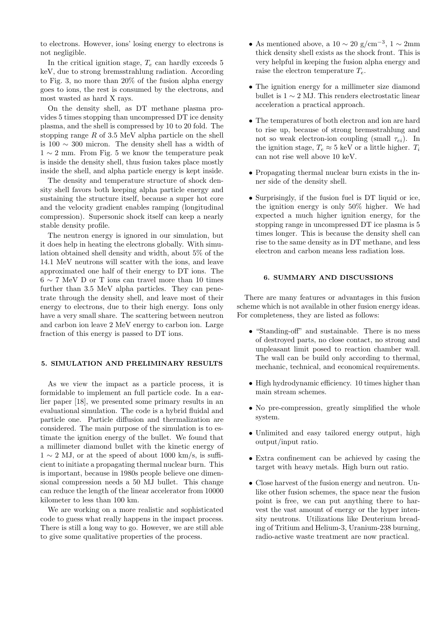to electrons. However, ions' losing energy to electrons is not negligible.

In the critical ignition stage,  $T_e$  can hardly exceeds 5 keV, due to strong bremsstrahlung radiation. According to Fig. 3, no more than 20% of the fusion alpha energy goes to ions, the rest is consumed by the electrons, and most wasted as hard X rays.

On the density shell, as DT methane plasma provides 5 times stopping than uncompressed DT ice density plasma, and the shell is compressed by 10 to 20 fold. The stopping range  $R$  of 3.5 MeV alpha particle on the shell is 100 ∼ 300 micron. The density shell has a width of  $1 \sim 2$  mm. From Fig. 5 we know the temperature peak is inside the density shell, thus fusion takes place mostly inside the shell, and alpha particle energy is kept inside.

The density and temperature structure of shock density shell favors both keeping alpha particle energy and sustaining the structure itself, because a super hot core and the velocity gradient enables ramping (longitudinal compression). Supersonic shock itself can keep a nearly stable density profile.

The neutron energy is ignored in our simulation, but it does help in heating the electrons globally. With simulation obtained shell density and width, about 5% of the 14.1 MeV neutrons will scatter with the ions, and leave approximated one half of their energy to DT ions. The 6 ∼ 7 MeV D or T ions can travel more than 10 times further than 3.5 MeV alpha particles. They can penetrate through the density shell, and leave most of their energy to electrons, due to their high energy. Ions only have a very small share. The scattering between neutron and carbon ion leave 2 MeV energy to carbon ion. Large fraction of this energy is passed to DT ions.

# 5. SIMULATION AND PRELIMINARY RESULTS

As we view the impact as a particle process, it is formidable to implement an full particle code. In a earlier paper [18], we presented some primary results in an evaluational simulation. The code is a hybrid fluidal and particle one. Particle diffusion and thermalization are considered. The main purpose of the simulation is to estimate the ignition energy of the bullet. We found that a millimeter diamond bullet with the kinetic energy of  $1 \sim 2$  MJ, or at the speed of about 1000 km/s, is sufficient to initiate a propagating thermal nuclear burn. This is important, because in 1980s people believe one dimensional compression needs a 50 MJ bullet. This change can reduce the length of the linear accelerator from 10000 kilometer to less than 100 km.

We are working on a more realistic and sophisticated code to guess what really happens in the impact process. There is still a long way to go. However, we are still able to give some qualitative properties of the process.

- As mentioned above, a  $10 \sim 20$  g/cm<sup>-3</sup>,  $1 \sim 2$ mm thick density shell exists as the shock front. This is very helpful in keeping the fusion alpha energy and raise the electron temperature  $T_e$ .
- The ignition energy for a millimeter size diamond bullet is  $1 \sim 2$  MJ. This renders electrostatic linear acceleration a practical approach.
- The temperatures of both electron and ion are hard to rise up, because of strong bremsstrahlung and not so weak electron-ion coupling (small  $\tau_{ei}$ ). In the ignition stage,  $T_e \approx 5 \text{ keV}$  or a little higher.  $T_i$ can not rise well above 10 keV.
- Propagating thermal nuclear burn exists in the inner side of the density shell.
- Surprisingly, if the fusion fuel is DT liquid or ice, the ignition energy is only 50% higher. We had expected a much higher ignition energy, for the stopping range in uncompressed DT ice plasma is 5 times longer. This is because the density shell can rise to the same density as in DT methane, and less electron and carbon means less radiation loss.

# 6. SUMMARY AND DISCUSSIONS

There are many features or advantages in this fusion scheme which is not available in other fusion energy ideas. For completeness, they are listed as follows:

- "Standing-off" and sustainable. There is no mess of destroyed parts, no close contact, no strong and unpleasant limit posed to reaction chamber wall. The wall can be build only according to thermal, mechanic, technical, and economical requirements.
- High hydrodynamic efficiency. 10 times higher than main stream schemes.
- No pre-compression, greatly simplified the whole system.
- Unlimited and easy tailored energy output, high output/input ratio.
- Extra confinement can be achieved by casing the target with heavy metals. High burn out ratio.
- Close harvest of the fusion energy and neutron. Unlike other fusion schemes, the space near the fusion point is free, we can put anything there to harvest the vast amount of energy or the hyper intensity neutrons. Utilizations like Deuterium breading of Tritium and Helium-3, Uranium-238 burning, radio-active waste treatment are now practical.